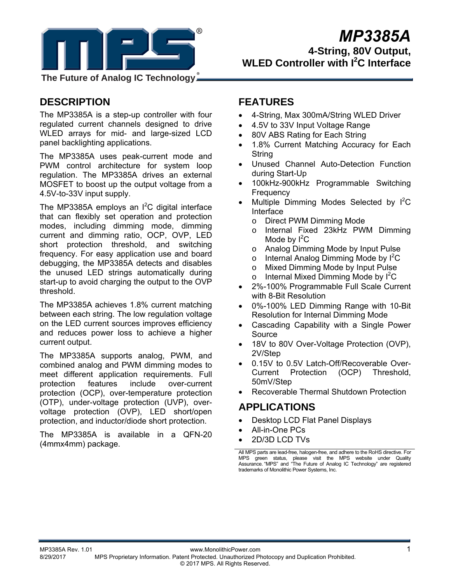

**The Future of Analog IC Technology**

# **DESCRIPTION**

The MP3385A is a step-up controller with four regulated current channels designed to drive WLED arrays for mid- and large-sized LCD panel backlighting applications.

The MP3385A uses peak-current mode and PWM control architecture for system loop regulation. The MP3385A drives an external MOSFET to boost up the output voltage from a 4.5V-to-33V input supply.

The MP3385A employs an  $I^2C$  digital interface that can flexibly set operation and protection modes, including dimming mode, dimming current and dimming ratio, OCP, OVP, LED short protection threshold, and switching frequency. For easy application use and board debugging, the MP3385A detects and disables the unused LED strings automatically during start-up to avoid charging the output to the OVP threshold.

The MP3385A achieves 1.8% current matching between each string. The low regulation voltage on the LED current sources improves efficiency and reduces power loss to achieve a higher current output.

The MP3385A supports analog, PWM, and combined analog and PWM dimming modes to meet different application requirements. Full protection features include over-current protection (OCP), over-temperature protection (OTP), under-voltage protection (UVP), overvoltage protection (OVP), LED short/open protection, and inductor/diode short protection.

The MP3385A is available in a QFN-20 (4mmx4mm) package.

# **FEATURES**

- 4-String, Max 300mA/String WLED Driver
- 4.5V to 33V Input Voltage Range
- 80V ABS Rating for Each String
- 1.8% Current Matching Accuracy for Each **String**
- Unused Channel Auto-Detection Function during Start-Up
- 100kHz-900kHz Programmable Switching Frequency
- Multiple Dimming Modes Selected by  $I^2C$ Interface
	- o Direct PWM Dimming Mode
	- o Internal Fixed 23kHz PWM Dimming Mode by  $I^2C$
	- o Analog Dimming Mode by Input Pulse
	- $\circ$  Internal Analog Dimming Mode by  $I^2C$
	- o Mixed Dimming Mode by Input Pulse
	- o Internal Mixed Dimming Mode by  $I^2C$
- 2%-100% Programmable Full Scale Current with 8-Bit Resolution
- 0%-100% LED Dimming Range with 10-Bit Resolution for Internal Dimming Mode
- Cascading Capability with a Single Power Source
- 18V to 80V Over-Voltage Protection (OVP), 2V/Step
- 0.15V to 0.5V Latch-Off/Recoverable Over-Current Protection (OCP) Threshold, 50mV/Step
- Recoverable Thermal Shutdown Protection

# **APPLICATIONS**

- Desktop LCD Flat Panel Displays
- All-in-One PCs
- 2D/3D LCD TVs

All MPS parts are lead-free, halogen-free, and adhere to the RoHS directive. For MPS green status, please visit the MPS website under Quality Assurance. "MPS" and "The Future of Analog IC Technology" are registered trademarks of Monolithic Power Systems, Inc.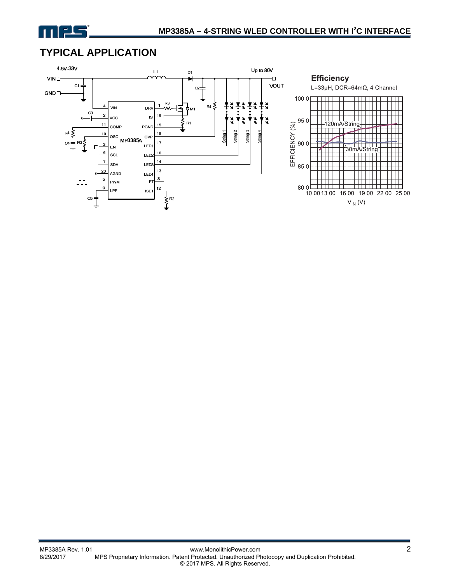

# **TYPICAL APPLICATION**

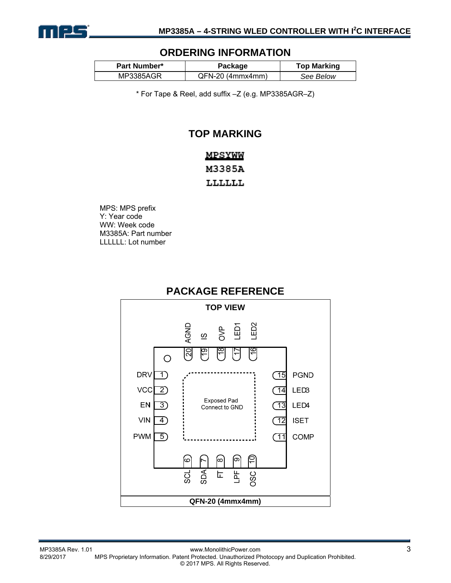

### **ORDERING INFORMATION**

| <b>Part Number*</b> | Package            | <b>Top Marking</b> |
|---------------------|--------------------|--------------------|
| MP3385AGR           | $QFN-20$ (4mmx4mm) | See Below          |

\* For Tape & Reel, add suffix –Z (e.g. MP3385AGR–Z)

### **TOP MARKING**

### MPSYWW M3385A

LLLLLL

MPS: MPS prefix Y: Year code WW: Week code M3385A: Part number LLLLLL: Lot number



### **PACKAGE REFERENCE**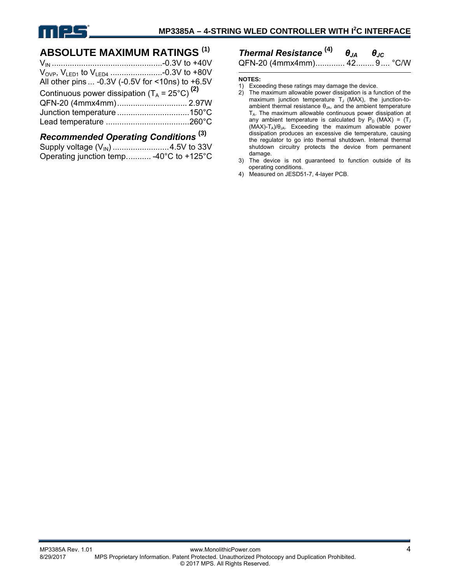

### **ABSOLUTE MAXIMUM RATINGS (1)**

| All other pins  -0.3V (-0.5V for <10ns) to +6.5V         |  |
|----------------------------------------------------------|--|
| Continuous power dissipation $(T_A = 25^{\circ}C)^{(2)}$ |  |
|                                                          |  |
|                                                          |  |
|                                                          |  |
|                                                          |  |

### *Recommended Operating Conditions* **(3)**

| Operating junction temp -40°C to +125°C |  |
|-----------------------------------------|--|

### *Thermal Resistance* **(4)** *θJA θJC* QFN-20 (4mmx4mm) ............. 42 ........ 9 .... °C/W

#### **NOTES:**

- 1) Exceeding these ratings may damage the device.
- 2) The maximum allowable power dissipation is a function of the maximum junction temperature  $T_J$  (MAX), the junction-toambient thermal resistance  $\theta_{JA}$ , and the ambient temperature  $T_A$ . The maximum allowable continuous power dissipation at any ambient temperature is calculated by  $P_D$  (MAX) = (T<sub>J</sub>  $(MAX)-T_A)/\theta_{JA}$ . Exceeding the maximum allowable power dissipation produces an excessive die temperature, causing the regulator to go into thermal shutdown. Internal thermal shutdown circuitry protects the device from permanent damage.
- 3) The device is not guaranteed to function outside of its operating conditions.
- 4) Measured on JESD51-7, 4-layer PCB.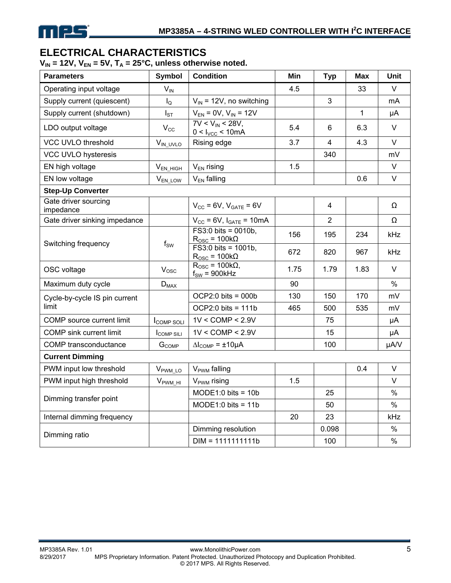# **ELECTRICAL CHARACTERISTICS**

 $V_{IN}$  = 12V,  $V_{EN}$  = 5V,  $T_A$  = 25°C, unless otherwise noted.

| <b>Parameters</b>                 | <b>Symbol</b>            | <b>Condition</b>                                                | Min  | <b>Typ</b>     | <b>Max</b>  | Unit   |
|-----------------------------------|--------------------------|-----------------------------------------------------------------|------|----------------|-------------|--------|
| Operating input voltage           | $V_{IN}$                 |                                                                 | 4.5  |                | 33          | V      |
| Supply current (quiescent)        | $I_{\Omega}$             | $V_{IN}$ = 12V, no switching                                    |      | 3              |             | mA     |
| Supply current (shutdown)         | $I_{ST}$                 | $V_{EN} = 0V$ , $V_{IN} = 12V$                                  |      |                | $\mathbf 1$ | μA     |
| LDO output voltage                | $V_{\rm CC}$             | $7V < V_{IN} < 28V$ ,<br>$0 < I_{VCC} < 10mA$                   | 5.4  | 6              | 6.3         | V      |
| <b>VCC UVLO threshold</b>         | $V_{IN\_UVLO}$           | Rising edge                                                     | 3.7  | 4              | 4.3         | $\vee$ |
| VCC UVLO hysteresis               |                          |                                                                 |      | 340            |             | mV     |
| EN high voltage                   | $V_{EN_HIGH}$            | $V_{EN}$ rising                                                 | 1.5  |                |             | V      |
| EN low voltage                    | $V_{EN\_LOW}$            | $V_{EN}$ falling                                                |      |                | 0.6         | $\vee$ |
| <b>Step-Up Converter</b>          |                          |                                                                 |      |                |             |        |
| Gate driver sourcing<br>impedance |                          | $V_{CC}$ = 6V, $V_{GATE}$ = 6V                                  |      | 4              |             | Ω      |
| Gate driver sinking impedance     |                          | $V_{CC}$ = 6V, $I_{GATE}$ = 10mA                                |      | $\overline{2}$ |             | Ω      |
| Switching frequency               | $\mathsf{f}_\mathsf{SW}$ | $F S3:0 bits = 0010b,$<br>$R_{\text{OSC}} = 100k\Omega$         | 156  | 195            | 234         | kHz    |
|                                   |                          | $F S3:0 \text{ bits} = 1001b.$<br>$R_{\text{OSC}} = 100k\Omega$ | 672  | 820            | 967         | kHz    |
| OSC voltage                       | $V_{\rm osc}$            | $R_{\rm OSC}$ = 100k $\Omega$ ,<br>$f_{SW}$ = 900kHz            | 1.75 | 1.79           | 1.83        | $\vee$ |
| Maximum duty cycle                | $D_{MAX}$                |                                                                 | 90   |                |             | $\%$   |
| Cycle-by-cycle IS pin current     |                          | $OCP2:0 bits = 000b$                                            | 130  | 150            | 170         | mV     |
| limit                             |                          | $OCP2:0 bits = 111b$                                            | 465  | 500            | 535         | mV     |
| COMP source current limit         | <b>I</b> COMP SOLI       | $1V <$ COMP $<$ 2.9V                                            |      | 75             |             | μA     |
| <b>COMP</b> sink current limit    | <b>I</b> COMP SILI       | $1V <$ COMP $<$ 2.9V                                            |      | 15             |             | μA     |
| COMP transconductance             | $G_{COMP}$               | $\Delta I_{\text{COMP}} = \pm 10 \mu A$                         |      | 100            |             | µA/V   |
| <b>Current Dimming</b>            |                          |                                                                 |      |                |             |        |
| PWM input low threshold           | V <sub>PWM_LO</sub>      | V <sub>PWM</sub> falling                                        |      |                | 0.4         | $\vee$ |
| PWM input high threshold          | $V_{\text{PWM_HI}}$      | V <sub>PWM</sub> rising                                         | 1.5  |                |             | $\vee$ |
|                                   |                          | $MODE1:0$ bits = 10b                                            |      | 25             |             | $\%$   |
| Dimming transfer point            |                          | $MODE1:0$ bits = 11b                                            |      | 50             |             | $\%$   |
| Internal dimming frequency        |                          |                                                                 | 20   | 23             |             | kHz    |
|                                   |                          | Dimming resolution                                              |      | 0.098          |             | $\%$   |
| Dimming ratio                     |                          | $DIM = 1111111111b$                                             |      | 100            |             | $\%$   |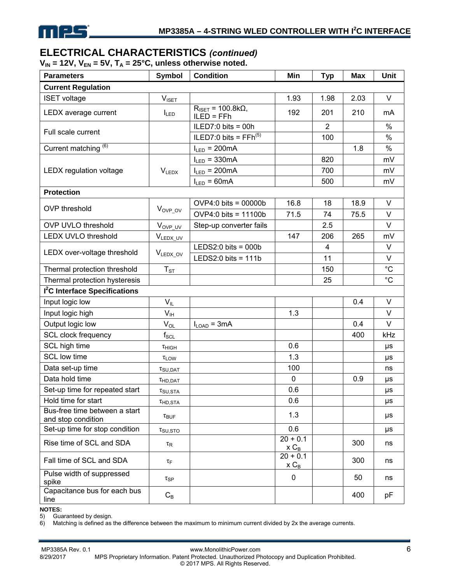# **ELECTRICAL CHARACTERISTICS** *(continued)*

 $V_{IN}$  = 12V,  $V_{EN}$  = 5V,  $T_A$  = 25°C, unless otherwise noted.

| <b>Parameters</b>                                   | <b>Symbol</b>               | <b>Condition</b>                                          | Min                   | <b>Typ</b>     | <b>Max</b> | Unit        |
|-----------------------------------------------------|-----------------------------|-----------------------------------------------------------|-----------------------|----------------|------------|-------------|
| <b>Current Regulation</b>                           |                             |                                                           |                       |                |            |             |
| <b>ISET voltage</b>                                 | $V_{\text{ISET}}$           |                                                           | 1.93                  | 1.98           | 2.03       | V           |
| LEDX average current                                | $I_{LED}$                   | $R_{\text{ISET}} = 100.8 \text{k}\Omega,$<br>$ILED = FFh$ | 192                   | 201            | 210        | mA          |
| Full scale current                                  |                             | ILED7:0 bits = 00h                                        |                       | $\overline{2}$ |            | $\%$        |
|                                                     |                             | ILED7:0 bits = $FFh^{(5)}$                                |                       | 100            |            | $\%$        |
| Current matching <sup>(6)</sup>                     |                             | $I_{LED} = 200mA$                                         |                       |                | 1.8        | $\%$        |
|                                                     |                             | $I_{LED} = 330mA$                                         |                       | 820            |            | mV          |
| <b>LEDX</b> regulation voltage                      | $V_{LEDX}$                  | $I_{LED} = 200mA$                                         |                       | 700            |            | mV          |
|                                                     |                             | $I_{LED} = 60mA$                                          |                       | 500            |            | mV          |
| <b>Protection</b>                                   |                             |                                                           |                       |                |            |             |
| <b>OVP</b> threshold                                | $V_{OVP\_OV}$               | $OVP4:0$ bits = 00000b                                    | 16.8                  | 18             | 18.9       | $\vee$      |
|                                                     |                             | OVP4:0 bits = 11100b                                      | 71.5                  | 74             | 75.5       | $\vee$      |
| <b>OVP UVLO threshold</b>                           | V <sub>OVP_UV</sub>         | Step-up converter fails                                   |                       | 2.5            |            | $\vee$      |
| <b>LEDX UVLO threshold</b>                          | VLEDX_UV                    |                                                           | 147                   | 206            | 265        | mV          |
|                                                     |                             | LEDS2:0 bits = $000b$                                     |                       | 4              |            | V           |
| LEDX over-voltage threshold                         | VLEDX_OV                    | LEDS2:0 bits = $111b$                                     |                       | 11             |            | $\vee$      |
| Thermal protection threshold                        | $T_{ST}$                    |                                                           |                       | 150            |            | $^{\circ}C$ |
| Thermal protection hysteresis                       |                             |                                                           |                       | 25             |            | $^{\circ}C$ |
| <sup>2</sup> C Interface Specifications             |                             |                                                           |                       |                |            |             |
| Input logic low                                     | $V_{IL}$                    |                                                           |                       |                | 0.4        | $\vee$      |
| Input logic high                                    | $V_{\text{IH}}$             |                                                           | 1.3                   |                |            | $\vee$      |
| Output logic low                                    | $V_{OL}$                    | $I_{\text{LOAD}} = 3 \text{mA}$                           |                       |                | 0.4        | $\vee$      |
| SCL clock frequency                                 | $\mathsf{f}_{\mathsf{SCL}}$ |                                                           |                       |                | 400        | kHz         |
| SCL high time                                       | $\tau$ HIGH                 |                                                           | 0.6                   |                |            | μs          |
| <b>SCL low time</b>                                 | $\tau_{LOW}$                |                                                           | 1.3                   |                |            | μs          |
| Data set-up time                                    | $\tau_{\text{SU,DAT}}$      |                                                           | 100                   |                |            | ns          |
| Data hold time                                      | $\tau$ HD.DAT               |                                                           | $\mathbf 0$           |                | 0.9        | μs          |
| Set-up time for repeated start                      | $\tau_{\text{SU,STA}}$      |                                                           | 0.6                   |                |            | μs          |
| Hold time for start                                 | t <sub>HD,STA</sub>         |                                                           | 0.6                   |                |            | $\mu s$     |
| Bus-free time between a start<br>and stop condition | $\tau_{\text{BUF}}$         |                                                           | 1.3                   |                |            | μs          |
| Set-up time for stop condition                      | $\tau_{\text{SU,STO}}$      |                                                           | 0.6                   |                |            | μs          |
| Rise time of SCL and SDA                            | $\tau_{\mathsf{R}}$         |                                                           | $20 + 0.1$<br>$x C_B$ |                | 300        | ns          |
| Fall time of SCL and SDA                            | τF                          |                                                           | $20 + 0.1$<br>$x C_B$ |                | 300        | ns          |
| Pulse width of suppressed<br>spike                  | $\tau_{SP}$                 |                                                           | 0                     |                | 50         | ns          |
| Capacitance bus for each bus<br>line                | $C_B$                       |                                                           |                       |                | 400        | pF          |

**NOTES:** 

5) Guaranteed by design.<br>6) Matching is defined as

Matching is defined as the difference between the maximum to minimum current divided by 2x the average currents.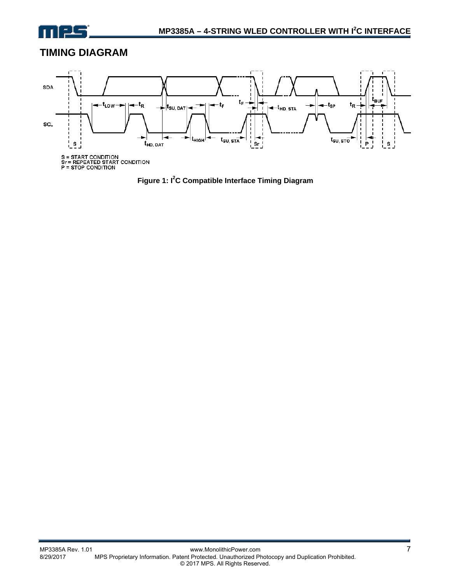

# **TIMING DIAGRAM**



**Figure 1: I2 C Compatible Interface Timing Diagram**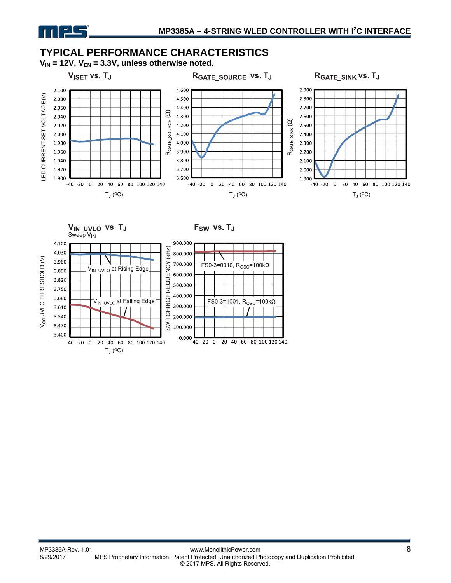# **TYPICAL PERFORMANCE CHARACTERISTICS**

 $V_{IN}$  = 12V,  $V_{EN}$  = 3.3V, unless otherwise noted.

 $V<sub>ISET</sub>$  vs.  $T<sub>J</sub>$ 



VIN\_UVLO VS. TJ



RGATE SOURCE VS. TJ



Sweep V<sub>IN</sub> 4.100 4.030 3.960

F<sub>SW</sub> vs. T<sub>J</sub>

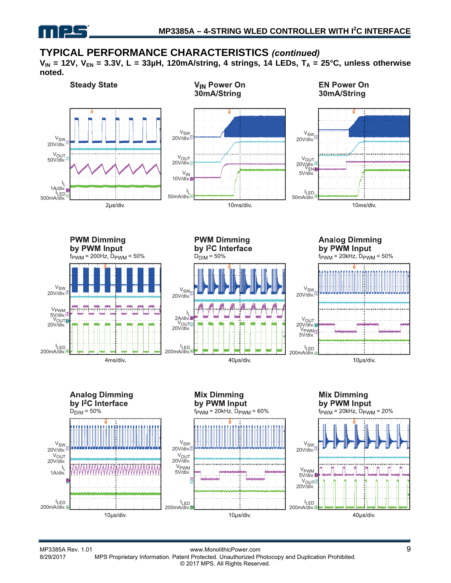

### **TYPICAL PERFORMANCE CHARACTERISTICS** *(continued)*

 $V_{IN}$  = 12V,  $V_{EN}$  = 3.3V, L = 33µH, 120mA/string, 4 strings, 14 LEDs,  $T_A$  = 25°C, unless otherwise **noted.**

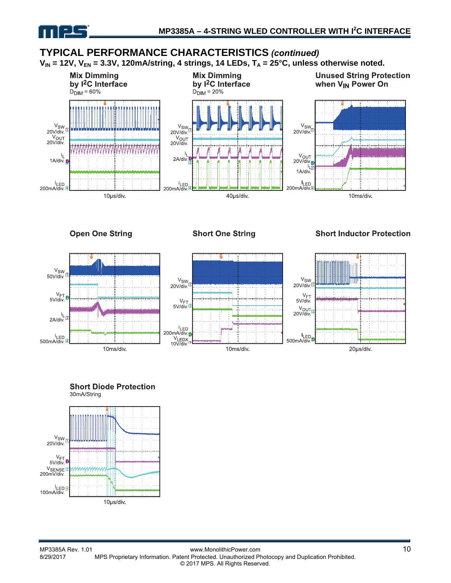

### **TYPICAL PERFORMANCE CHARACTERISTICS** *(continued)*

V<sub>IN</sub> = 12V, V<sub>EN</sub> = 3.3V, 120mA/string, 4 strings, 14 LEDs, T<sub>A</sub> = 25°C, unless otherwise noted.



**Open One String** 

**Short One String** 

#### **Short Inductor Protection**





#### **Short Diode Protection** 30mA/String

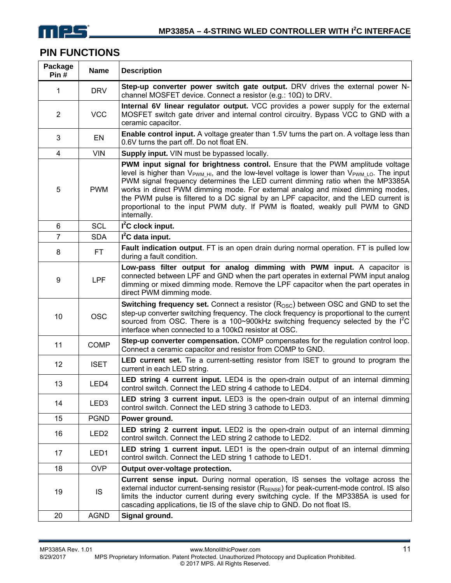

# **PIN FUNCTIONS**

| Package<br>Pin# | <b>Name</b>      | <b>Description</b>                                                                                                                                                                                                                                                                                                                                                                                                                                                                                                                                               |
|-----------------|------------------|------------------------------------------------------------------------------------------------------------------------------------------------------------------------------------------------------------------------------------------------------------------------------------------------------------------------------------------------------------------------------------------------------------------------------------------------------------------------------------------------------------------------------------------------------------------|
| 1               | <b>DRV</b>       | Step-up converter power switch gate output. DRV drives the external power N-<br>channel MOSFET device. Connect a resistor (e.g.: $10\Omega$ ) to DRV.                                                                                                                                                                                                                                                                                                                                                                                                            |
| $\overline{2}$  | <b>VCC</b>       | Internal 6V linear regulator output. VCC provides a power supply for the external<br>MOSFET switch gate driver and internal control circuitry. Bypass VCC to GND with a<br>ceramic capacitor.                                                                                                                                                                                                                                                                                                                                                                    |
| 3               | EN               | Enable control input. A voltage greater than 1.5V turns the part on. A voltage less than<br>0.6V turns the part off. Do not float EN.                                                                                                                                                                                                                                                                                                                                                                                                                            |
| 4               | <b>VIN</b>       | Supply input. VIN must be bypassed locally.                                                                                                                                                                                                                                                                                                                                                                                                                                                                                                                      |
| 5               | <b>PWM</b>       | PWM input signal for brightness control. Ensure that the PWM amplitude voltage<br>level is higher than $V_{\text{PWM HJ}}$ , and the low-level voltage is lower than $V_{\text{PWM LO}}$ . The input<br>PWM signal frequency determines the LED current dimming ratio when the MP3385A<br>works in direct PWM dimming mode. For external analog and mixed dimming modes,<br>the PWM pulse is filtered to a DC signal by an LPF capacitor, and the LED current is<br>proportional to the input PWM duty. If PWM is floated, weakly pull PWM to GND<br>internally. |
| 6               | <b>SCL</b>       | $I2C$ clock input.                                                                                                                                                                                                                                                                                                                                                                                                                                                                                                                                               |
| $\overline{7}$  | <b>SDA</b>       | $I2C$ data input.                                                                                                                                                                                                                                                                                                                                                                                                                                                                                                                                                |
| 8               | <b>FT</b>        | Fault indication output. FT is an open drain during normal operation. FT is pulled low<br>during a fault condition.                                                                                                                                                                                                                                                                                                                                                                                                                                              |
| 9               | <b>LPF</b>       | Low-pass filter output for analog dimming with PWM input. A capacitor is<br>connected between LPF and GND when the part operates in external PWM input analog<br>dimming or mixed dimming mode. Remove the LPF capacitor when the part operates in<br>direct PWM dimming mode.                                                                                                                                                                                                                                                                                   |
| 10              | <b>OSC</b>       | <b>Switching frequency set.</b> Connect a resistor $(ROSC)$ between OSC and GND to set the<br>step-up converter switching frequency. The clock frequency is proportional to the current<br>sourced from OSC. There is a 100~900kHz switching frequency selected by the I <sup>2</sup> C<br>interface when connected to a $100k\Omega$ resistor at OSC.                                                                                                                                                                                                           |
| 11              | <b>COMP</b>      | Step-up converter compensation. COMP compensates for the regulation control loop.<br>Connect a ceramic capacitor and resistor from COMP to GND.                                                                                                                                                                                                                                                                                                                                                                                                                  |
| 12              | <b>ISET</b>      | <b>LED current set.</b> Tie a current-setting resistor from ISET to ground to program the<br>current in each LED string.                                                                                                                                                                                                                                                                                                                                                                                                                                         |
| 13              | LED4             | LED string 4 current input. LED4 is the open-drain output of an internal dimming<br>control switch. Connect the LED string 4 cathode to LED4.                                                                                                                                                                                                                                                                                                                                                                                                                    |
| 14              | LED <sub>3</sub> | LED string 3 current input. LED3 is the open-drain output of an internal dimming<br>control switch. Connect the LED string 3 cathode to LED3.                                                                                                                                                                                                                                                                                                                                                                                                                    |
| 15              | <b>PGND</b>      | Power ground.                                                                                                                                                                                                                                                                                                                                                                                                                                                                                                                                                    |
| 16              | LED <sub>2</sub> | <b>LED string 2 current input.</b> LED2 is the open-drain output of an internal dimming<br>control switch. Connect the LED string 2 cathode to LED2.                                                                                                                                                                                                                                                                                                                                                                                                             |
| 17              | LED1             | LED string 1 current input. LED1 is the open-drain output of an internal dimming<br>control switch. Connect the LED string 1 cathode to LED1.                                                                                                                                                                                                                                                                                                                                                                                                                    |
| 18              | <b>OVP</b>       | Output over-voltage protection.                                                                                                                                                                                                                                                                                                                                                                                                                                                                                                                                  |
| 19              | IS               | Current sense input. During normal operation, IS senses the voltage across the<br>external inductor current-sensing resistor $(R_{\text{SENSE}})$ for peak-current-mode control. IS also<br>limits the inductor current during every switching cycle. If the MP3385A is used for<br>cascading applications, tie IS of the slave chip to GND. Do not float IS.                                                                                                                                                                                                    |
| 20              | <b>AGND</b>      | Signal ground.                                                                                                                                                                                                                                                                                                                                                                                                                                                                                                                                                   |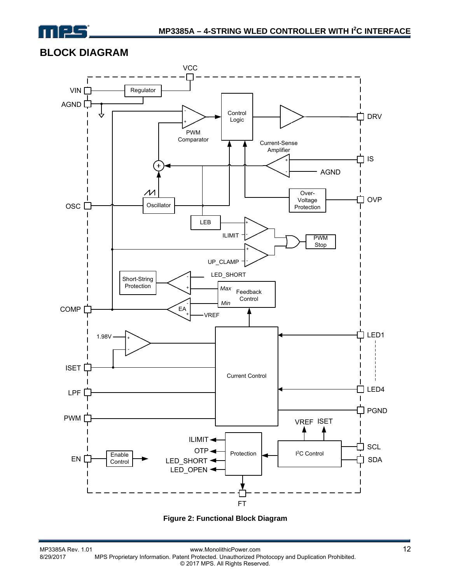

# **BLOCK DIAGRAM**



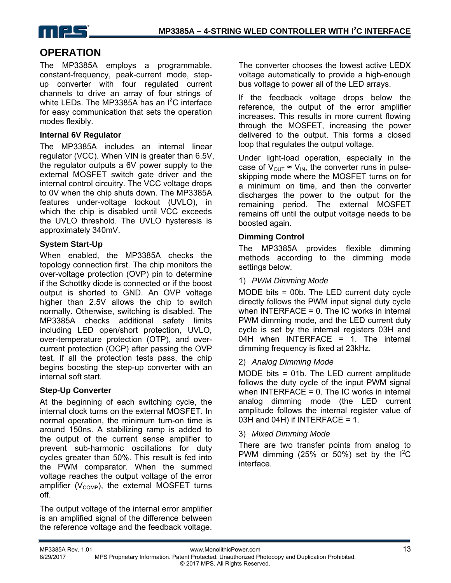

# **OPERATION**

The MP3385A employs a programmable, constant-frequency, peak-current mode, stepup converter with four regulated current channels to drive an array of four strings of white LEDs. The MP3385A has an I<sup>2</sup>C interface for easy communication that sets the operation modes flexibly.

#### **Internal 6V Regulator**

The MP3385A includes an internal linear regulator (VCC). When VIN is greater than 6.5V, the regulator outputs a 6V power supply to the external MOSFET switch gate driver and the internal control circuitry. The VCC voltage drops to 0V when the chip shuts down. The MP3385A features under-voltage lockout (UVLO), in which the chip is disabled until VCC exceeds the UVLO threshold. The UVLO hysteresis is approximately 340mV.

#### **System Start-Up**

When enabled, the MP3385A checks the topology connection first. The chip monitors the over-voltage protection (OVP) pin to determine if the Schottky diode is connected or if the boost output is shorted to GND. An OVP voltage higher than 2.5V allows the chip to switch normally. Otherwise, switching is disabled. The MP3385A checks additional safety limits including LED open/short protection, UVLO, over-temperature protection (OTP), and overcurrent protection (OCP) after passing the OVP test. If all the protection tests pass, the chip begins boosting the step-up converter with an internal soft start.

#### **Step-Up Converter**

At the beginning of each switching cycle, the internal clock turns on the external MOSFET. In normal operation, the minimum turn-on time is around 150ns. A stabilizing ramp is added to the output of the current sense amplifier to prevent sub-harmonic oscillations for duty cycles greater than 50%. This result is fed into the PWM comparator. When the summed voltage reaches the output voltage of the error amplifier ( $V_{\text{COMP}}$ ), the external MOSFET turns off.

The output voltage of the internal error amplifier is an amplified signal of the difference between the reference voltage and the feedback voltage. The converter chooses the lowest active LEDX voltage automatically to provide a high-enough bus voltage to power all of the LED arrays.

If the feedback voltage drops below the reference, the output of the error amplifier increases. This results in more current flowing through the MOSFET, increasing the power delivered to the output. This forms a closed loop that regulates the output voltage.

Under light-load operation, especially in the case of  $V_{\text{OUT}} \approx V_{\text{IN}}$ , the converter runs in pulseskipping mode where the MOSFET turns on for a minimum on time, and then the converter discharges the power to the output for the remaining period. The external MOSFET remains off until the output voltage needs to be boosted again.

#### **Dimming Control**

The MP3385A provides flexible dimming methods according to the dimming mode settings below.

#### 1) *PWM Dimming Mode*

MODE bits = 00b. The LED current duty cycle directly follows the PWM input signal duty cycle when INTERFACE = 0. The IC works in internal PWM dimming mode, and the LED current duty cycle is set by the internal registers 03H and 04H when INTERFACE = 1. The internal dimming frequency is fixed at 23kHz.

#### 2) *Analog Dimming Mode*

MODE bits = 01b. The LED current amplitude follows the duty cycle of the input PWM signal when INTERFACE = 0. The IC works in internal analog dimming mode (the LED current amplitude follows the internal register value of 03H and 04H) if INTERFACE = 1.

#### 3) *Mixed Dimming Mode*

There are two transfer points from analog to PWM dimming (25% or 50%) set by the  $I^2C$ interface.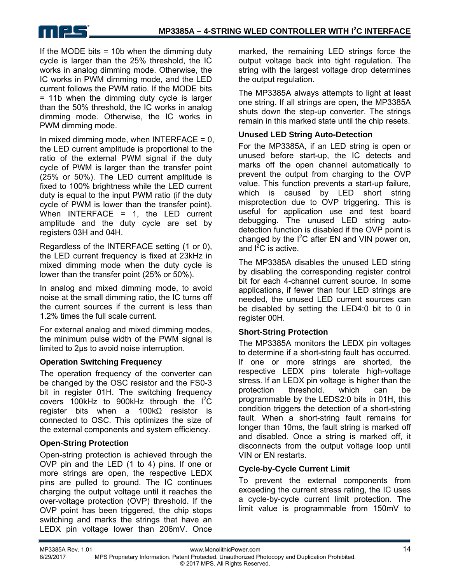

If the MODE bits  $=$  10b when the dimming duty cycle is larger than the 25% threshold, the IC works in analog dimming mode. Otherwise, the IC works in PWM dimming mode, and the LED current follows the PWM ratio. If the MODE bits = 11b when the dimming duty cycle is larger than the 50% threshold, the IC works in analog dimming mode. Otherwise, the IC works in PWM dimming mode.

In mixed dimming mode, when INTERFACE  $= 0$ , the LED current amplitude is proportional to the ratio of the external PWM signal if the duty cycle of PWM is larger than the transfer point (25% or 50%). The LED current amplitude is fixed to 100% brightness while the LED current duty is equal to the input PWM ratio (if the duty cycle of PWM is lower than the transfer point). When INTERFACE = 1, the LED current amplitude and the duty cycle are set by registers 03H and 04H.

Regardless of the INTERFACE setting (1 or 0), the LED current frequency is fixed at 23kHz in mixed dimming mode when the duty cycle is lower than the transfer point (25% or 50%).

In analog and mixed dimming mode, to avoid noise at the small dimming ratio, the IC turns off the current sources if the current is less than 1.2% times the full scale current.

For external analog and mixed dimming modes, the minimum pulse width of the PWM signal is limited to 2µs to avoid noise interruption.

#### **Operation Switching Frequency**

The operation frequency of the converter can be changed by the OSC resistor and the FS0-3 bit in register 01H. The switching frequency covers 100kHz to 900kHz through the  $I^2C$ register bits when a 100kΩ resistor is connected to OSC. This optimizes the size of the external components and system efficiency.

#### **Open-String Protection**

Open-string protection is achieved through the OVP pin and the LED (1 to 4) pins. If one or more strings are open, the respective LEDX pins are pulled to ground. The IC continues charging the output voltage until it reaches the over-voltage protection (OVP) threshold. If the OVP point has been triggered, the chip stops switching and marks the strings that have an LEDX pin voltage lower than 206mV. Once

marked, the remaining LED strings force the output voltage back into tight regulation. The string with the largest voltage drop determines the output regulation.

The MP3385A always attempts to light at least one string. If all strings are open, the MP3385A shuts down the step-up converter. The strings remain in this marked state until the chip resets.

#### **Unused LED String Auto-Detection**

For the MP3385A, if an LED string is open or unused before start-up, the IC detects and marks off the open channel automatically to prevent the output from charging to the OVP value. This function prevents a start-up failure, which is caused by LED short string misprotection due to OVP triggering. This is useful for application use and test board debugging. The unused LED string autodetection function is disabled if the OVP point is changed by the  $I^2C$  after EN and VIN power on, and  $I^2C$  is active.

The MP3385A disables the unused LED string by disabling the corresponding register control bit for each 4-channel current source. In some applications, if fewer than four LED strings are needed, the unused LED current sources can be disabled by setting the LED4:0 bit to 0 in register 00H.

#### **Short-String Protection**

The MP3385A monitors the LEDX pin voltages to determine if a short-string fault has occurred. If one or more strings are shorted, the respective LEDX pins tolerate high-voltage stress. If an LEDX pin voltage is higher than the protection threshold, which can be programmable by the LEDS2:0 bits in 01H, this condition triggers the detection of a short-string fault. When a short-string fault remains for longer than 10ms, the fault string is marked off and disabled. Once a string is marked off, it disconnects from the output voltage loop until VIN or EN restarts.

#### **Cycle-by-Cycle Current Limit**

To prevent the external components from exceeding the current stress rating, the IC uses a cycle-by-cycle current limit protection. The limit value is programmable from 150mV to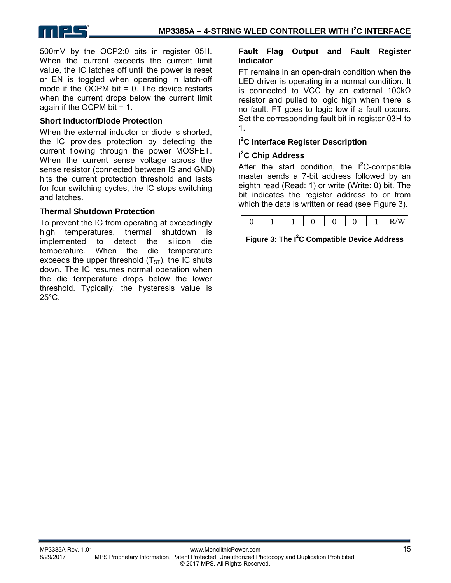

500mV by the OCP2:0 bits in register 05H. When the current exceeds the current limit value, the IC latches off until the power is reset or EN is toggled when operating in latch-off mode if the OCPM bit  $= 0$ . The device restarts when the current drops below the current limit again if the OCPM bit = 1.

#### **Short Inductor/Diode Protection**

When the external inductor or diode is shorted, the IC provides protection by detecting the current flowing through the power MOSFET. When the current sense voltage across the sense resistor (connected between IS and GND) hits the current protection threshold and lasts for four switching cycles, the IC stops switching and latches.

#### **Thermal Shutdown Protection**

To prevent the IC from operating at exceedingly high temperatures, thermal shutdown is implemented to detect the silicon die temperature. When the die temperature exceeds the upper threshold  $(T<sub>ST</sub>)$ , the IC shuts down. The IC resumes normal operation when the die temperature drops below the lower threshold. Typically, the hysteresis value is  $25^{\circ}$ C.

#### **Fault Flag Output and Fault Register Indicator**

FT remains in an open-drain condition when the LED driver is operating in a normal condition. It is connected to VCC by an external 100kΩ resistor and pulled to logic high when there is no fault. FT goes to logic low if a fault occurs. Set the corresponding fault bit in register 03H to 1.

#### **I 2 C Interface Register Description**

#### **I 2 C Chip Address**

After the start condition, the  $I^2C$ -compatible master sends a 7-bit address followed by an eighth read (Read: 1) or write (Write: 0) bit. The bit indicates the register address to or from which the data is written or read (see Figure 3).

|--|--|--|--|--|--|--|--|

#### **Figure 3: The I2 C Compatible Device Address**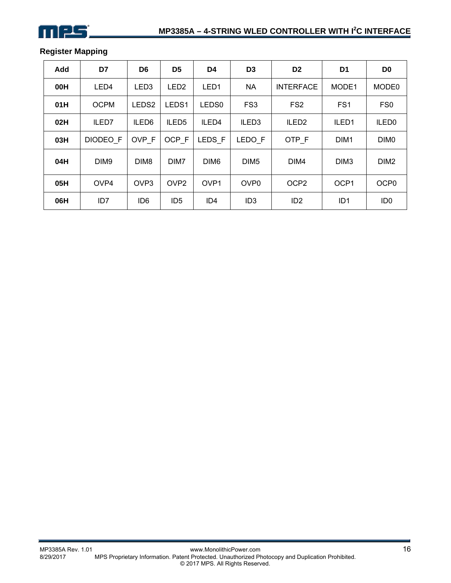### **Register Mapping**

| Add | D7               | D <sub>6</sub>    | D <sub>5</sub>    | D4                | D <sub>3</sub>    | D <sub>2</sub>    | D <sub>1</sub>   | D <sub>0</sub>    |
|-----|------------------|-------------------|-------------------|-------------------|-------------------|-------------------|------------------|-------------------|
| 00H | LED4             | LED <sub>3</sub>  | LED <sub>2</sub>  | LED <sub>1</sub>  | <b>NA</b>         | <b>INTERFACE</b>  | MODE1            | MODE0             |
| 01H | <b>OCPM</b>      | LEDS <sub>2</sub> | LEDS <sub>1</sub> | LEDS <sub>0</sub> | FS <sub>3</sub>   | FS <sub>2</sub>   | FS <sub>1</sub>  | FS <sub>0</sub>   |
| 02H | ILED7            | ILED <sub>6</sub> | ILED <sub>5</sub> | ILED4             | ILED <sub>3</sub> | ILED <sub>2</sub> | ILED1            | ILED <sub>0</sub> |
| 03H | DIODEO F         | OVP F             | OCP F             | LEDS F            | LEDO F            | OTP F             | DIM <sub>1</sub> | DIM <sub>0</sub>  |
| 04H | DIM <sub>9</sub> | DIM <sub>8</sub>  | DIM7              | DIM <sub>6</sub>  | DIM <sub>5</sub>  | DIM4              | DIM <sub>3</sub> | DIM <sub>2</sub>  |
| 05H | OVP4             | OV <sub>P3</sub>  | OVP <sub>2</sub>  | OVP <sub>1</sub>  | OV <sub>P0</sub>  | OCP <sub>2</sub>  | OCP <sub>1</sub> | OCP <sub>0</sub>  |
| 06H | ID7              | ID <sub>6</sub>   | ID <sub>5</sub>   | ID <sub>4</sub>   | ID <sub>3</sub>   | ID <sub>2</sub>   | ID <sub>1</sub>  | ID <sub>0</sub>   |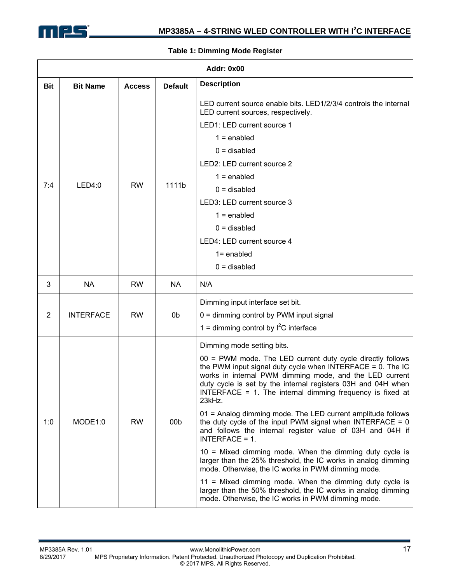

### **Addr: 0x00 Bit Bit Name Access Default Description** 7:4 | LED4:0 | RW | 1111b LED current source enable bits. LED1/2/3/4 controls the internal LED current sources, respectively. LED1: LED current source 1  $1 =$ enabled  $0 =$  disabled LED2: LED current source 2  $1 =$ enabled  $0 =$  disabled LED3: LED current source 3  $1 =$ enabled  $0 =$  disabled LED4: LED current source 4 1= enabled  $0 =$  disabled 3 | NA | RW | NA | N/A 2 INTERFACE RW 0b Dimming input interface set bit. 0 = dimming control by PWM input signal 1 = dimming control by  $I^2C$  interface 1:0 | MODE1:0 | RW | 00b Dimming mode setting bits. 00 = PWM mode. The LED current duty cycle directly follows the PWM input signal duty cycle when INTERFACE =  $0$ . The IC works in internal PWM dimming mode, and the LED current duty cycle is set by the internal registers 03H and 04H when INTERFACE = 1. The internal dimming frequency is fixed at 23kHz. 01 = Analog dimming mode. The LED current amplitude follows the duty cycle of the input PWM signal when INTERFACE =  $0$ and follows the internal register value of 03H and 04H if INTERFACE = 1. 10 = Mixed dimming mode. When the dimming duty cycle is larger than the 25% threshold, the IC works in analog dimming mode. Otherwise, the IC works in PWM dimming mode. 11 = Mixed dimming mode. When the dimming duty cycle is larger than the 50% threshold, the IC works in analog dimming mode. Otherwise, the IC works in PWM dimming mode.

#### **Table 1: Dimming Mode Register**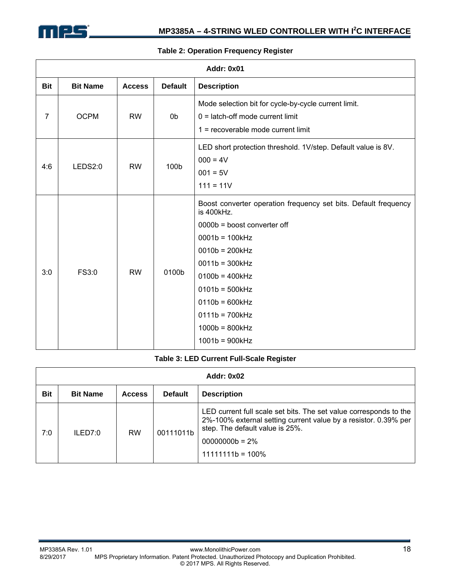

|            | Addr: 0x01      |               |                |                                                                                                                                                                                                                                                                                                  |  |  |  |  |
|------------|-----------------|---------------|----------------|--------------------------------------------------------------------------------------------------------------------------------------------------------------------------------------------------------------------------------------------------------------------------------------------------|--|--|--|--|
| <b>Bit</b> | <b>Bit Name</b> | <b>Access</b> | <b>Default</b> | <b>Description</b>                                                                                                                                                                                                                                                                               |  |  |  |  |
| 7          | <b>OCPM</b>     | <b>RW</b>     | 0b             | Mode selection bit for cycle-by-cycle current limit.<br>$0 =$ latch-off mode current limit<br>$1 =$ recoverable mode current limit                                                                                                                                                               |  |  |  |  |
| 4:6        | LEDS2:0         | <b>RW</b>     | 100b           | LED short protection threshold. 1V/step. Default value is 8V.<br>$000 = 4V$<br>$001 = 5V$<br>$111 = 11V$                                                                                                                                                                                         |  |  |  |  |
| 3:0        | FS3:0           | <b>RW</b>     | 0100b          | Boost converter operation frequency set bits. Default frequency<br>is 400kHz.<br>0000b = boost converter off<br>$0001b = 100kHz$<br>$0010b = 200kHz$<br>$0011b = 300kHz$<br>$0100b = 400kHz$<br>$0101b = 500kHz$<br>$0110b = 600kHz$<br>$0111b = 700kHz$<br>$1000b = 800kHz$<br>$1001b = 900kHz$ |  |  |  |  |

#### **Table 2: Operation Frequency Register**

#### **Table 3: LED Current Full-Scale Register**

|     | <b>Addr: 0x02</b> |               |                |                                                                                                                                                                                                                     |  |  |  |  |
|-----|-------------------|---------------|----------------|---------------------------------------------------------------------------------------------------------------------------------------------------------------------------------------------------------------------|--|--|--|--|
| Bit | <b>Bit Name</b>   | <b>Access</b> | <b>Default</b> | <b>Description</b>                                                                                                                                                                                                  |  |  |  |  |
| 7:0 | ILED7:0           | <b>RW</b>     | 00111011b      | LED current full scale set bits. The set value corresponds to the<br>2%-100% external setting current value by a resistor. 0.39% per<br>step. The default value is 25%.<br>$00000000b = 2\%$<br>$11111111b = 100\%$ |  |  |  |  |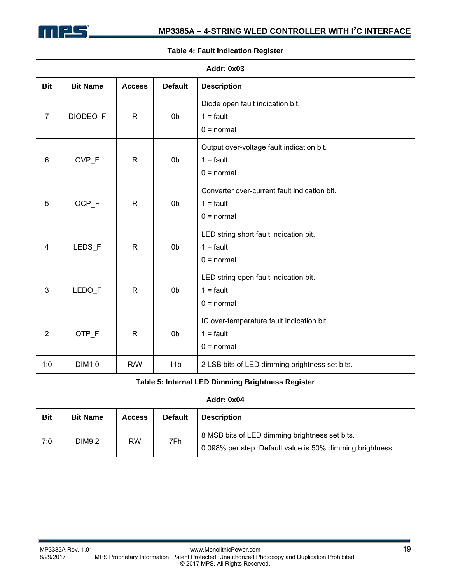

|                | <b>Addr: 0x03</b> |               |                 |                                                                             |  |  |  |  |  |
|----------------|-------------------|---------------|-----------------|-----------------------------------------------------------------------------|--|--|--|--|--|
| <b>Bit</b>     | <b>Bit Name</b>   | <b>Access</b> | <b>Default</b>  | <b>Description</b>                                                          |  |  |  |  |  |
| $\overline{7}$ | DIODEO_F          | $\mathsf{R}$  | 0 <sub>b</sub>  | Diode open fault indication bit.<br>$1 =$ fault<br>$0 = normal$             |  |  |  |  |  |
| 6              | OVP_F             | $\mathsf{R}$  | 0 <sub>b</sub>  | Output over-voltage fault indication bit.<br>$1 =$ fault<br>$0 = normal$    |  |  |  |  |  |
| 5              | OCP_F             | $\mathsf{R}$  | 0b              | Converter over-current fault indication bit.<br>$1 =$ fault<br>$0 = normal$ |  |  |  |  |  |
| 4              | LEDS_F            | $\mathsf{R}$  | 0 <sub>b</sub>  | LED string short fault indication bit.<br>$1 =$ fault<br>$0 = normal$       |  |  |  |  |  |
| 3              | LEDO_F            | $\mathsf{R}$  | 0 <sub>b</sub>  | LED string open fault indication bit.<br>$1 =$ fault<br>$0 = normal$        |  |  |  |  |  |
| $\overline{2}$ | OTP_F             | $\mathsf{R}$  | 0 <sub>b</sub>  | IC over-temperature fault indication bit.<br>$1 =$ fault<br>$0 = normal$    |  |  |  |  |  |
| 1:0            | DIM1:0            | R/W           | 11 <sub>b</sub> | 2 LSB bits of LED dimming brightness set bits.                              |  |  |  |  |  |

#### **Table 4: Fault Indication Register**

#### **Table 5: Internal LED Dimming Brightness Register**

|            | <b>Addr: 0x04</b> |               |                |                                                                                                             |  |  |  |  |
|------------|-------------------|---------------|----------------|-------------------------------------------------------------------------------------------------------------|--|--|--|--|
| <b>Bit</b> | <b>Bit Name</b>   | <b>Access</b> | <b>Default</b> | <b>Description</b>                                                                                          |  |  |  |  |
| 7:0        | DIM9:2            | <b>RW</b>     | 7Fh            | 8 MSB bits of LED dimming brightness set bits.<br>0.098% per step. Default value is 50% dimming brightness. |  |  |  |  |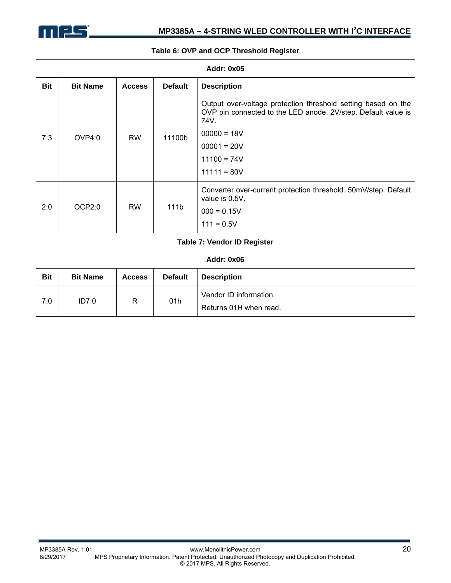

#### **Table 6: OVP and OCP Threshold Register**

| <b>Addr: 0x05</b> |                 |               |                |                                                                                                                                        |  |  |
|-------------------|-----------------|---------------|----------------|----------------------------------------------------------------------------------------------------------------------------------------|--|--|
| <b>Bit</b>        | <b>Bit Name</b> | <b>Access</b> | <b>Default</b> | <b>Description</b>                                                                                                                     |  |  |
| 7:3               | OVP4:0          | <b>RW</b>     | 11100b         | Output over-voltage protection threshold setting based on the<br>OVP pin connected to the LED anode. 2V/step. Default value is<br>74V. |  |  |
|                   |                 |               |                | $00000 = 18V$                                                                                                                          |  |  |
|                   |                 |               |                | $00001 = 20V$                                                                                                                          |  |  |
|                   |                 |               |                | $11100 = 74V$                                                                                                                          |  |  |
|                   |                 |               |                | $11111 = 80V$                                                                                                                          |  |  |
| 2:0               | OCP2:0          | <b>RW</b>     | 111b           | Converter over-current protection threshold. 50mV/step. Default<br>value is 0.5V.                                                      |  |  |
|                   |                 |               |                | $000 = 0.15V$                                                                                                                          |  |  |
|                   |                 |               |                | $111 = 0.5V$                                                                                                                           |  |  |

#### **Table 7: Vendor ID Register**

| Addr: 0x06 |                 |               |                |                                                  |  |  |  |
|------------|-----------------|---------------|----------------|--------------------------------------------------|--|--|--|
| <b>Bit</b> | <b>Bit Name</b> | <b>Access</b> | <b>Default</b> | <b>Description</b>                               |  |  |  |
| 7:0        | ID7:0           | R             | 01h            | Vendor ID information.<br>Returns 01H when read. |  |  |  |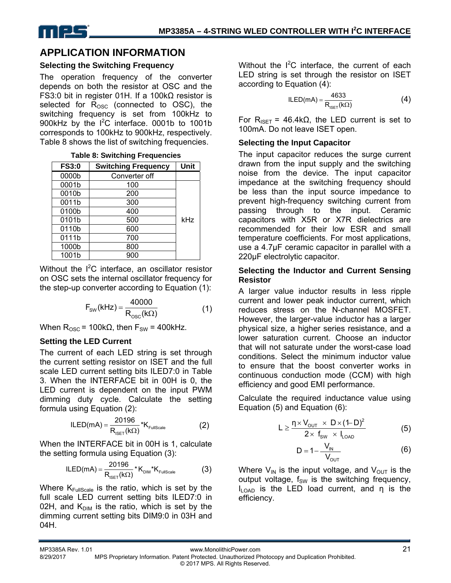

# **APPLICATION INFORMATION**

#### **Selecting the Switching Frequency**

The operation frequency of the converter depends on both the resistor at OSC and the FS3:0 bit in register 01H. If a 100kΩ resistor is selected for  $R_{\text{OSC}}$  (connected to OSC), the switching frequency is set from 100kHz to 900kHz by the  $1^2C$  interface. 0001b to 1001b corresponds to 100kHz to 900kHz, respectively. Table 8 shows the list of switching frequencies.

| <b>FS3:0</b> | <b>Switching Frequency</b> | Unit |
|--------------|----------------------------|------|
| 0000b        | Converter off              |      |
| 0001b        | 100                        |      |
| 0010b        | 200                        |      |
| 0011b        | 300                        |      |
| 0100b        | 400                        |      |
| 0101b        | 500                        | kHz  |
| 0110b        | 600                        |      |
| 0111b        | 700                        |      |
| 1000b        | 800                        |      |
| 1001b        | 900                        |      |

Without the  $I^2C$  interface, an oscillator resistor on OSC sets the internal oscillator frequency for the step-up converter according to Equation (1):

$$
F_{\text{SW}}(k \text{Hz}) = \frac{40000}{R_{\text{osc}}(k\Omega)} \tag{1}
$$

When  $R_{\text{OSC}}$  = 100kΩ, then  $F_{\text{SW}}$  = 400kHz.

#### **Setting the LED Current**

The current of each LED string is set through the current setting resistor on ISET and the full scale LED current setting bits ILED7:0 in Table 3. When the INTERFACE bit in 00H is 0, the LED current is dependent on the input PWM dimming duty cycle. Calculate the setting formula using Equation (2):

$$
ILED(mA) = \frac{20196}{R_{\text{ISET}}(k\Omega)} * K_{\text{FullScale}}
$$
 (2)

When the INTERFACE bit in 00H is 1, calculate the setting formula using Equation (3):

$$
ILED(mA) = \frac{20196}{R_{ISET}(k\Omega)} * K_{\text{DM}} * K_{\text{FullScale}}
$$
 (3)

Where  $K_{\text{FullScale}}$  is the ratio, which is set by the full scale LED current setting bits ILED7:0 in 02H, and  $K_{\text{DIM}}$  is the ratio, which is set by the dimming current setting bits DIM9:0 in 03H and 04H.

Without the  $I^2C$  interface, the current of each LED string is set through the resistor on ISET according to Equation (4):

$$
ILED(mA) = \frac{4633}{R_{\text{ISET}}(k\Omega)}\tag{4}
$$

For  $R_{ISET}$  = 46.4k $\Omega$ , the LED current is set to 100mA. Do not leave ISET open.

#### **Selecting the Input Capacitor**

The input capacitor reduces the surge current drawn from the input supply and the switching noise from the device. The input capacitor impedance at the switching frequency should be less than the input source impedance to prevent high-frequency switching current from passing through to the input. Ceramic capacitors with X5R or X7R dielectrics are recommended for their low ESR and small temperature coefficients. For most applications, use a 4.7μF ceramic capacitor in parallel with a 220µF electrolytic capacitor.

#### **Selecting the Inductor and Current Sensing Resistor**

A larger value inductor results in less ripple current and lower peak inductor current, which reduces stress on the N-channel MOSFET. However, the larger-value inductor has a larger physical size, a higher series resistance, and a lower saturation current. Choose an inductor that will not saturate under the worst-case load conditions. Select the minimum inductor value to ensure that the boost converter works in continuous conduction mode (CCM) with high efficiency and good EMI performance.

Calculate the required inductance value using Equation (5) and Equation (6):

$$
L \geq \frac{\eta \times V_{\text{OUT}} \times D \times (1-D)^2}{2 \times f_{\text{SW}} \times I_{\text{LOAD}}}
$$
 (5)

$$
D = 1 - \frac{V_{IN}}{V_{OUT}} \tag{6}
$$

Where  $V_{IN}$  is the input voltage, and  $V_{OUT}$  is the output voltage,  $f_{SW}$  is the switching frequency,  $I_{\text{LOAD}}$  is the LED load current, and  $\eta$  is the efficiency.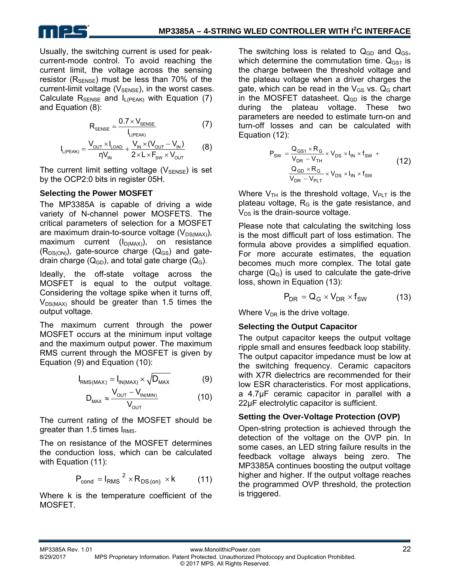

Usually, the switching current is used for peakcurrent-mode control. To avoid reaching the current limit, the voltage across the sensing resistor ( $R_{\text{SENSE}}$ ) must be less than 70% of the current-limit voltage ( $V_{\text{SENSE}}$ ), in the worst cases. Calculate  $R_{\text{SENSE}}$  and  $I_{\text{L(PEAK)}}$  with Equation (7) and Equation (8):

$$
R_{\text{SENSE}} = \frac{0.7 \times V_{\text{SENSE}}}{I_{L(\text{PEAK})}}
$$
(7)

$$
I_{L(PEAK)} = \frac{V_{OUT} \times I_{LOAD}}{\eta V_{IN}} + \frac{V_{IN} \times (V_{OUT} - V_{IN})}{2 \times L \times F_{SW} \times V_{OUT}}
$$
(8)

The current limit setting voltage  $(V_{\text{SENSE}})$  is set by the OCP2:0 bits in register 05H.

#### **Selecting the Power MOSFET**

The MP3385A is capable of driving a wide variety of N-channel power MOSFETS. The critical parameters of selection for a MOSFET are maximum drain-to-source voltage  $(V_{DS(MAX)})$ , maximum current  $(I_{D(MAX)})$ , on resistance  $(R_{DS(ON)})$ , gate-source charge  $(Q_{GS})$  and gatedrain charge  $(Q_{GD})$ , and total gate charge  $(Q_G)$ .

Ideally, the off-state voltage across the MOSFET is equal to the output voltage. Considering the voltage spike when it turns off,  $V_{DS(MAX)}$  should be greater than 1.5 times the output voltage.

The maximum current through the power MOSFET occurs at the minimum input voltage and the maximum output power. The maximum RMS current through the MOSFET is given by Equation (9) and Equation (10):

$$
I_{RMS(MAX)} = I_{IN(MAX)} \times \sqrt{D_{MAX}}
$$
 (9)

$$
D_{\text{max}} \approx \frac{V_{\text{OUT}} - V_{\text{IN(MIN)}}}{V_{\text{OUT}}}
$$
 (10)

The current rating of the MOSFET should be greater than 1.5 times  $I<sub>RMS</sub>$ .

The on resistance of the MOSFET determines the conduction loss, which can be calculated with Equation (11):

$$
P_{\text{cond}} = I_{\text{RMS}}^{2} \times R_{\text{DS (on)}} \times k \tag{11}
$$

Where k is the temperature coefficient of the MOSFET.

The switching loss is related to  $Q_{GD}$  and  $Q_{GS}$ , which determine the commutation time.  $Q_{GS1}$  is the charge between the threshold voltage and the plateau voltage when a driver charges the gate, which can be read in the  $V_{GS}$  vs.  $Q_G$  chart in the MOSFET datasheet.  $Q<sub>GD</sub>$  is the charge during the plateau voltage. These two parameters are needed to estimate turn-on and turn-off losses and can be calculated with Equation (12):

$$
P_{SW} = \frac{Q_{GS1} \times R_G}{V_{DR} - V_{TH}} \times V_{DS} \times I_{IN} \times f_{SW} +
$$
  

$$
\frac{Q_{GD} \times R_G}{V_{DR} - V_{PLT}} \times V_{DS} \times I_{IN} \times f_{SW}
$$
 (12)

Where  $V_{TH}$  is the threshold voltage,  $V_{PLT}$  is the plateau voltage,  $R<sub>G</sub>$  is the gate resistance, and  $V_{DS}$  is the drain-source voltage.

Please note that calculating the switching loss is the most difficult part of loss estimation. The formula above provides a simplified equation. For more accurate estimates, the equation becomes much more complex. The total gate charge  $(Q_G)$  is used to calculate the gate-drive loss, shown in Equation (13):

$$
P_{DR} = Q_G \times V_{DR} \times f_{SW}
$$
 (13)

Where  $V_{DR}$  is the drive voltage.

#### **Selecting the Output Capacitor**

The output capacitor keeps the output voltage ripple small and ensures feedback loop stability. The output capacitor impedance must be low at the switching frequency. Ceramic capacitors with X7R dielectrics are recommended for their low ESR characteristics. For most applications, a 4.7μF ceramic capacitor in parallel with a 22μF electrolytic capacitor is sufficient.

#### **Setting the Over-Voltage Protection (OVP)**

Open-string protection is achieved through the detection of the voltage on the OVP pin. In some cases, an LED string failure results in the feedback voltage always being zero. The MP3385A continues boosting the output voltage higher and higher. If the output voltage reaches the programmed OVP threshold, the protection is triggered.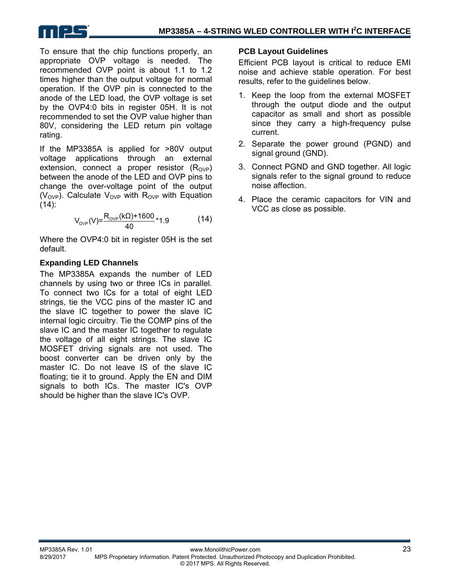

To ensure that the chip functions properly, an appropriate OVP voltage is needed. The recommended OVP point is about 1.1 to 1.2 times higher than the output voltage for normal operation. If the OVP pin is connected to the anode of the LED load, the OVP voltage is set by the OVP4:0 bits in register 05H. It is not recommended to set the OVP value higher than 80V, considering the LED return pin voltage rating.

If the MP3385A is applied for >80V output voltage applications through an external extension, connect a proper resistor  $(R_{\text{OVP}})$ between the anode of the LED and OVP pins to change the over-voltage point of the output ( $V_{\text{OVP}}$ ). Calculate  $V_{\text{OVP}}$  with R<sub>OVP</sub> with Equation  $(14)$ :

$$
V_{_{\text{OVP}}}(V) = \frac{R_{_{\text{OVP}}}(k\Omega) + 1600}{40} \times 1.9
$$
 (14)

Where the OVP4:0 bit in register 05H is the set default.

#### **Expanding LED Channels**

The MP3385A expands the number of LED channels by using two or three ICs in parallel. To connect two ICs for a total of eight LED strings, tie the VCC pins of the master IC and the slave IC together to power the slave IC internal logic circuitry. Tie the COMP pins of the slave IC and the master IC together to regulate the voltage of all eight strings. The slave IC MOSFET driving signals are not used. The boost converter can be driven only by the master IC. Do not leave IS of the slave IC floating; tie it to ground. Apply the EN and DIM signals to both ICs. The master IC's OVP should be higher than the slave IC's OVP.

#### **PCB Layout Guidelines**

Efficient PCB layout is critical to reduce EMI noise and achieve stable operation. For best results, refer to the guidelines below.

- 1. Keep the loop from the external MOSFET through the output diode and the output capacitor as small and short as possible since they carry a high-frequency pulse current.
- 2. Separate the power ground (PGND) and signal ground (GND).
- 3. Connect PGND and GND together. All logic signals refer to the signal ground to reduce noise affection.
- 4. Place the ceramic capacitors for VIN and VCC as close as possible.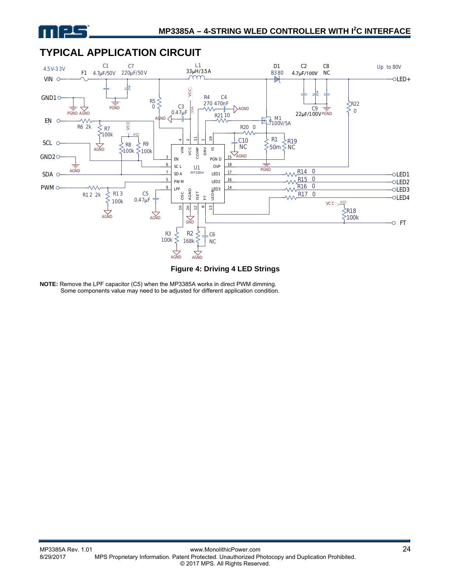



### **TYPICAL APPLICATION CIRCUIT**

**Figure 4: Driving 4 LED Strings** 

**NOTE:** Remove the LPF capacitor (C5) when the MP3385A works in direct PWM dimming. Some components value may need to be adjusted for different application condition.